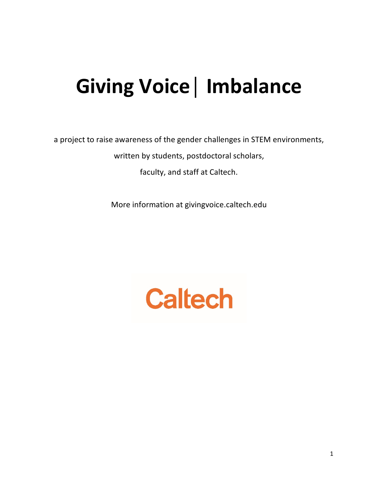# **Giving Voice│ Imbalance**

a project to raise awareness of the gender challenges in STEM environments,

written by students, postdoctoral scholars,

faculty, and staff at Caltech.

More information at givingvoice.caltech.edu

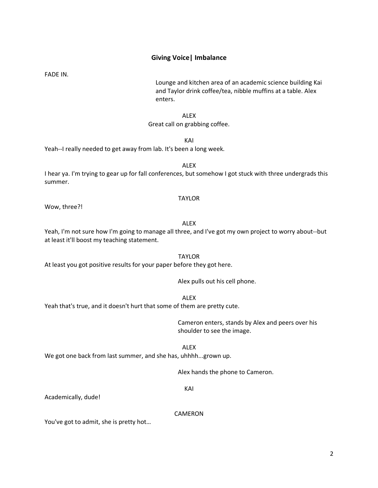### **Giving Voice| Imbalance**

FADE IN.

Lounge and kitchen area of an academic science building Kai and Taylor drink coffee/tea, nibble muffins at a table. Alex enters.

ALEX

### Great call on grabbing coffee.

KAI

Yeah--I really needed to get away from lab. It's been a long week.

ALEX I hear ya. I'm trying to gear up for fall conferences, but somehow I got stuck with three undergrads this summer.

### TAYLOR

Wow, three?!

### ALEX

TAYLOR

ALEX

Yeah, I'm not sure how I'm going to manage all three, and I've got my own project to worry about--but at least it'll boost my teaching statement.

At least you got positive results for your paper before they got here.

Alex pulls out his cell phone.

Yeah that's true, and it doesn't hurt that some of them are pretty cute.

Cameron enters, stands by Alex and peers over his shoulder to see the image.

We got one back from last summer, and she has, uhhhh...grown up.

Alex hands the phone to Cameron.

KAI

ALEX

Academically, dude!

CAMERON

You've got to admit, she is pretty hot…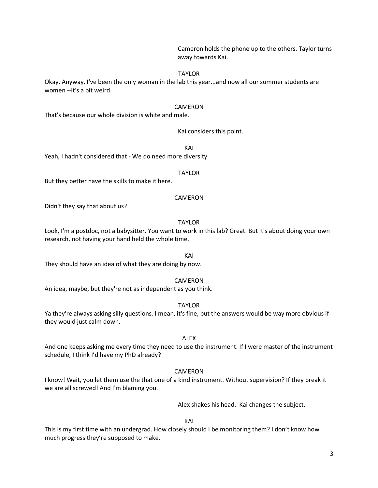Cameron holds the phone up to the others. Taylor turns away towards Kai.

### TAYLOR

Okay. Anyway, I've been the only woman in the lab this year...and now all our summer students are women --it's a bit weird.

### CAMERON

That's because our whole division is white and male.

### Kai considers this point.

KAI

Yeah, I hadn't considered that - We do need more diversity.

TAYLOR

But they better have the skills to make it here.

### CAMERON

Didn't they say that about us?

#### TAYLOR

Look, I'm a postdoc, not a babysitter. You want to work in this lab? Great. But it's about doing your own research, not having your hand held the whole time.

They should have an idea of what they are doing by now.

### CAMERON

KAI

An idea, maybe, but they're not as independent as you think.

TAYLOR

Ya they're always asking silly questions. I mean, it's fine, but the answers would be way more obvious if they would just calm down.

### ALEX

And one keeps asking me every time they need to use the instrument. If I were master of the instrument schedule, I think I'd have my PhD already?

### CAMERON

I know! Wait, you let them use the that one of a kind instrument. Without supervision? If they break it we are all screwed! And I'm blaming you.

Alex shakes his head. Kai changes the subject.

KAI

This is my first time with an undergrad. How closely should I be monitoring them? I don't know how much progress they're supposed to make.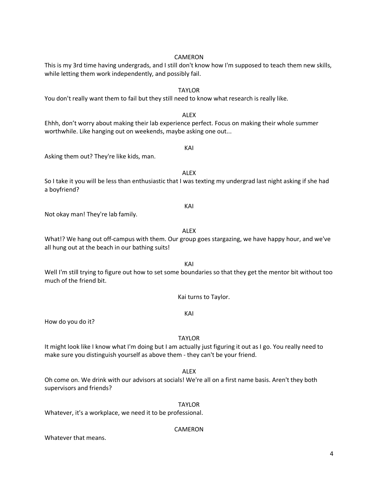### supervisors and friends? TAYLOR

Whatever, it's a workplace, we need it to be professional.

### CAMERON

## Whatever that means.

KAI How do you do it?

make sure you distinguish yourself as above them - they can't be your friend.

a boyfriend?

much of the friend bit.

What!? We hang out off-campus with them. Our group goes stargazing, we have happy hour, and we've all hung out at the beach in our bathing suits!

Asking them out? They're like kids, man.

KAI Not okay man! They're lab family.

ALEX So I take it you will be less than enthusiastic that I was texting my undergrad last night asking if she had

Ehhh, don't worry about making their lab experience perfect. Focus on making their whole summer worthwhile. Like hanging out on weekends, maybe asking one out... KAI

while letting them work independently, and possibly fail.

CAMERON This is my 3rd time having undergrads, and I still don't know how I'm supposed to teach them new skills,

TAYLOR

You don't really want them to fail but they still need to know what research is really like.

KAI

Well I'm still trying to figure out how to set some boundaries so that they get the mentor bit without too

Kai turns to Taylor.

TAYLOR

ALEX Oh come on. We drink with our advisors at socials! We're all on a first name basis. Aren't they both

It might look like I know what I'm doing but I am actually just figuring it out as I go. You really need to

ALEX

ALEX